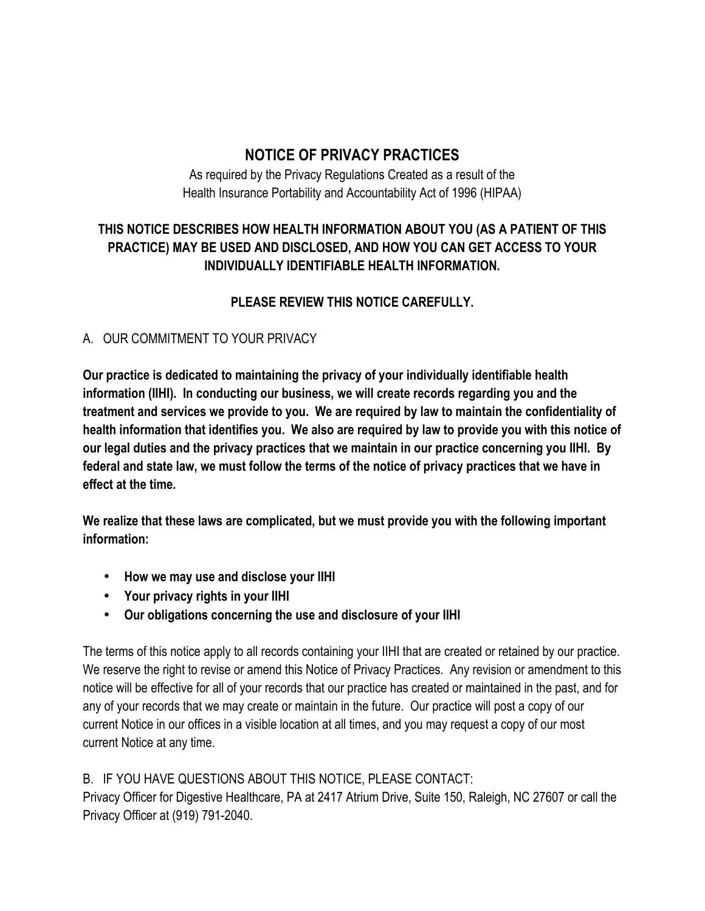# **NOTICE OF PRIVACY PRACTICES**

As required by the Privacy Regulations Created as a result of the Health Insurance Portability and Accountability Act of 1996 (HIPAA)

## **THIS NOTICE DESCRIBES HOW HEALTH INFORMATION ABOUT YOU (AS A PATIENT OF THIS PRACTICE) MAY BE USED AND DISCLOSED, AND HOW YOU CAN GET ACCESS TO YOUR INDIVIDUALLY IDENTIFIABLE HEALTH INFORMATION.**

# **PLEASE REVIEW THIS NOTICE CAREFULLY.**

#### A. OUR COMMITMENT TO YOUR PRIVACY

**Our practice is dedicated to maintaining the privacy of your individually identifiable health information (IIHI). In conducting our business, we will create records regarding you and the treatment and services we provide to you. We are required by law to maintain the confidentiality of health information that identifies you. We also are required by law to provide you with this notice of our legal duties and the privacy practices that we maintain in our practice concerning you IIHI. By federal and state law, we must follow the terms of the notice of privacy practices that we have in effect at the time.**

**We realize that these laws are complicated, but we must provide you with the following important information:**

- **How we may use and disclose your IIHI**
- **Your privacy rights in your IIHI**
- **Our obligations concerning the use and disclosure of your IIHI**

The terms of this notice apply to all records containing your IIHI that are created or retained by our practice. We reserve the right to revise or amend this Notice of Privacy Practices. Any revision or amendment to this notice will be effective for all of your records that our practice has created or maintained in the past, and for any of your records that we may create or maintain in the future. Our practice will post a copy of our current Notice in our offices in a visible location at all times, and you may request a copy of our most current Notice at any time.

## B. IF YOU HAVE QUESTIONS ABOUT THIS NOTICE, PLEASE CONTACT:

Privacy Officer for Digestive Healthcare, PA at 2417 Atrium Drive, Suite 150, Raleigh, NC 27607 or call the Privacy Officer at (919) 791-2040.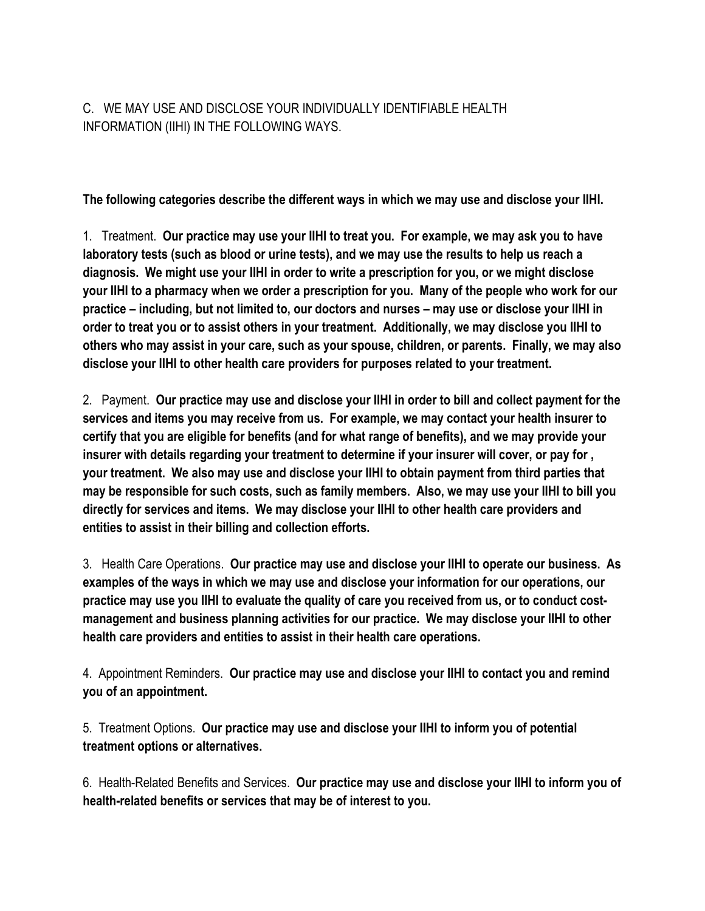C. WE MAY USE AND DISCLOSE YOUR INDIVIDUALLY IDENTIFIABLE HEALTH INFORMATION (IIHI) IN THE FOLLOWING WAYS.

**The following categories describe the different ways in which we may use and disclose your IIHI.**

1. Treatment. **Our practice may use your IIHI to treat you. For example, we may ask you to have laboratory tests (such as blood or urine tests), and we may use the results to help us reach a diagnosis. We might use your IIHI in order to write a prescription for you, or we might disclose your IIHI to a pharmacy when we order a prescription for you. Many of the people who work for our practice – including, but not limited to, our doctors and nurses – may use or disclose your IIHI in order to treat you or to assist others in your treatment. Additionally, we may disclose you IIHI to others who may assist in your care, such as your spouse, children, or parents. Finally, we may also disclose your IIHI to other health care providers for purposes related to your treatment.**

2. Payment. **Our practice may use and disclose your IIHI in order to bill and collect payment for the services and items you may receive from us. For example, we may contact your health insurer to certify that you are eligible for benefits (and for what range of benefits), and we may provide your insurer with details regarding your treatment to determine if your insurer will cover, or pay for , your treatment. We also may use and disclose your IIHI to obtain payment from third parties that may be responsible for such costs, such as family members. Also, we may use your IIHI to bill you directly for services and items. We may disclose your IIHI to other health care providers and entities to assist in their billing and collection efforts.**

3. Health Care Operations. **Our practice may use and disclose your IIHI to operate our business. As examples of the ways in which we may use and disclose your information for our operations, our practice may use you IIHI to evaluate the quality of care you received from us, or to conduct costmanagement and business planning activities for our practice. We may disclose your IIHI to other health care providers and entities to assist in their health care operations.**

4. Appointment Reminders. **Our practice may use and disclose your IIHI to contact you and remind you of an appointment.**

5. Treatment Options. **Our practice may use and disclose your IIHI to inform you of potential treatment options or alternatives.**

6. Health-Related Benefits and Services. **Our practice may use and disclose your IIHI to inform you of health-related benefits or services that may be of interest to you.**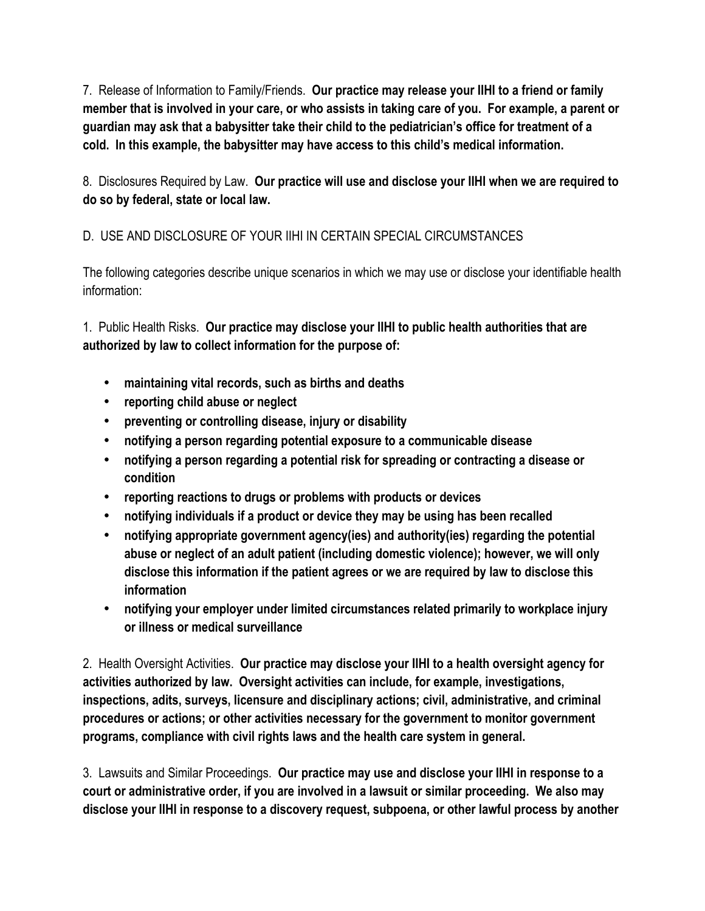7. Release of Information to Family/Friends. **Our practice may release your IIHI to a friend or family member that is involved in your care, or who assists in taking care of you. For example, a parent or guardian may ask that a babysitter take their child to the pediatrician's office for treatment of a cold. In this example, the babysitter may have access to this child's medical information.** 

8. Disclosures Required by Law. **Our practice will use and disclose your IIHI when we are required to do so by federal, state or local law.**

# D. USE AND DISCLOSURE OF YOUR IIHI IN CERTAIN SPECIAL CIRCUMSTANCES

The following categories describe unique scenarios in which we may use or disclose your identifiable health information:

1. Public Health Risks. **Our practice may disclose your IIHI to public health authorities that are authorized by law to collect information for the purpose of:**

- **maintaining vital records, such as births and deaths**
- **reporting child abuse or neglect**
- **preventing or controlling disease, injury or disability**
- **notifying a person regarding potential exposure to a communicable disease**
- **notifying a person regarding a potential risk for spreading or contracting a disease or condition**
- **reporting reactions to drugs or problems with products or devices**
- **notifying individuals if a product or device they may be using has been recalled**
- **notifying appropriate government agency(ies) and authority(ies) regarding the potential abuse or neglect of an adult patient (including domestic violence); however, we will only disclose this information if the patient agrees or we are required by law to disclose this information**
- **notifying your employer under limited circumstances related primarily to workplace injury or illness or medical surveillance**

2. Health Oversight Activities. **Our practice may disclose your IIHI to a health oversight agency for activities authorized by law. Oversight activities can include, for example, investigations, inspections, adits, surveys, licensure and disciplinary actions; civil, administrative, and criminal procedures or actions; or other activities necessary for the government to monitor government programs, compliance with civil rights laws and the health care system in general.**

3. Lawsuits and Similar Proceedings. **Our practice may use and disclose your IIHI in response to a court or administrative order, if you are involved in a lawsuit or similar proceeding. We also may disclose your IIHI in response to a discovery request, subpoena, or other lawful process by another**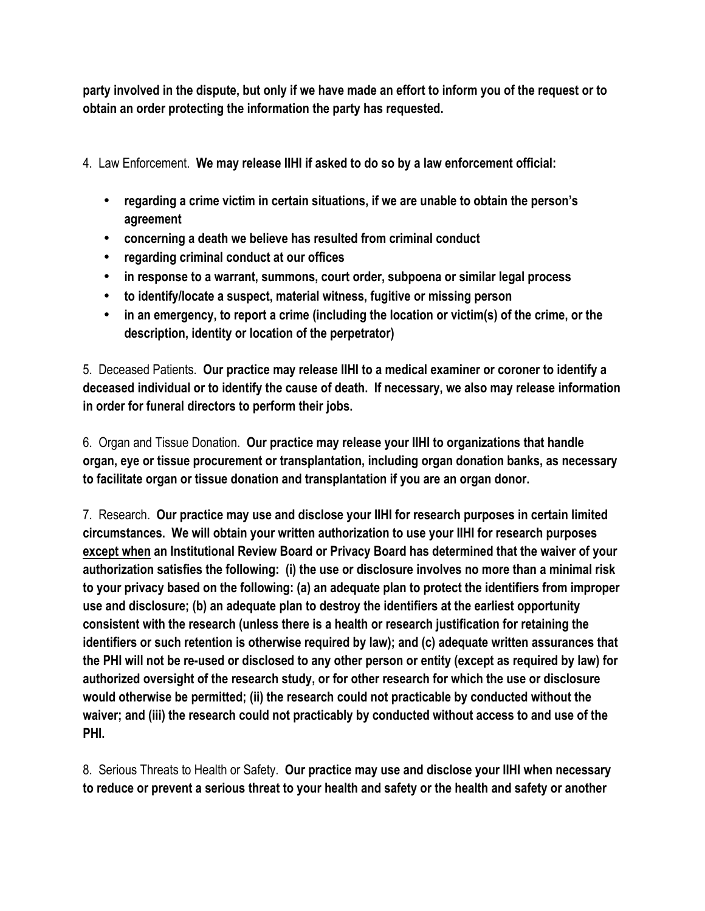**party involved in the dispute, but only if we have made an effort to inform you of the request or to obtain an order protecting the information the party has requested.**

4. Law Enforcement. **We may release IIHI if asked to do so by a law enforcement official:**

- **regarding a crime victim in certain situations, if we are unable to obtain the person's agreement**
- **concerning a death we believe has resulted from criminal conduct**
- **regarding criminal conduct at our offices**
- **in response to a warrant, summons, court order, subpoena or similar legal process**
- **to identify/locate a suspect, material witness, fugitive or missing person**
- **in an emergency, to report a crime (including the location or victim(s) of the crime, or the description, identity or location of the perpetrator)**

5. Deceased Patients. **Our practice may release IIHI to a medical examiner or coroner to identify a deceased individual or to identify the cause of death. If necessary, we also may release information in order for funeral directors to perform their jobs.**

6. Organ and Tissue Donation. **Our practice may release your IIHI to organizations that handle organ, eye or tissue procurement or transplantation, including organ donation banks, as necessary to facilitate organ or tissue donation and transplantation if you are an organ donor.**

7. Research. **Our practice may use and disclose your IIHI for research purposes in certain limited circumstances. We will obtain your written authorization to use your IIHI for research purposes except when an Institutional Review Board or Privacy Board has determined that the waiver of your authorization satisfies the following: (i) the use or disclosure involves no more than a minimal risk to your privacy based on the following: (a) an adequate plan to protect the identifiers from improper use and disclosure; (b) an adequate plan to destroy the identifiers at the earliest opportunity consistent with the research (unless there is a health or research justification for retaining the identifiers or such retention is otherwise required by law); and (c) adequate written assurances that the PHI will not be re-used or disclosed to any other person or entity (except as required by law) for authorized oversight of the research study, or for other research for which the use or disclosure would otherwise be permitted; (ii) the research could not practicable by conducted without the waiver; and (iii) the research could not practicably by conducted without access to and use of the PHI.**

8. Serious Threats to Health or Safety. **Our practice may use and disclose your IIHI when necessary to reduce or prevent a serious threat to your health and safety or the health and safety or another**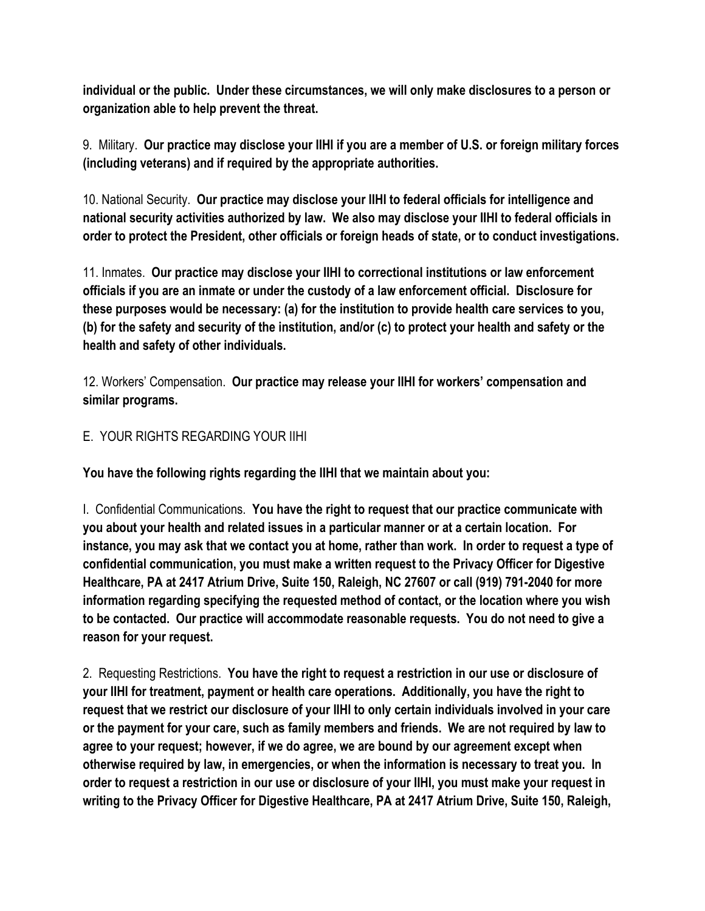**individual or the public. Under these circumstances, we will only make disclosures to a person or organization able to help prevent the threat.**

9. Military. **Our practice may disclose your IIHI if you are a member of U.S. or foreign military forces (including veterans) and if required by the appropriate authorities.**

10. National Security. **Our practice may disclose your IIHI to federal officials for intelligence and national security activities authorized by law. We also may disclose your IIHI to federal officials in order to protect the President, other officials or foreign heads of state, or to conduct investigations.**

11. Inmates. **Our practice may disclose your IIHI to correctional institutions or law enforcement officials if you are an inmate or under the custody of a law enforcement official. Disclosure for these purposes would be necessary: (a) for the institution to provide health care services to you, (b) for the safety and security of the institution, and/or (c) to protect your health and safety or the health and safety of other individuals.**

12. Workers' Compensation. **Our practice may release your IIHI for workers' compensation and similar programs.**

#### E. YOUR RIGHTS REGARDING YOUR IIHI

**You have the following rights regarding the IIHI that we maintain about you:**

I. Confidential Communications. **You have the right to request that our practice communicate with you about your health and related issues in a particular manner or at a certain location. For instance, you may ask that we contact you at home, rather than work. In order to request a type of confidential communication, you must make a written request to the Privacy Officer for Digestive Healthcare, PA at 2417 Atrium Drive, Suite 150, Raleigh, NC 27607 or call (919) 791-2040 for more information regarding specifying the requested method of contact, or the location where you wish to be contacted. Our practice will accommodate reasonable requests. You do not need to give a reason for your request.**

2. Requesting Restrictions. **You have the right to request a restriction in our use or disclosure of your IIHI for treatment, payment or health care operations. Additionally, you have the right to request that we restrict our disclosure of your IIHI to only certain individuals involved in your care or the payment for your care, such as family members and friends. We are not required by law to agree to your request; however, if we do agree, we are bound by our agreement except when otherwise required by law, in emergencies, or when the information is necessary to treat you. In order to request a restriction in our use or disclosure of your IIHI, you must make your request in writing to the Privacy Officer for Digestive Healthcare, PA at 2417 Atrium Drive, Suite 150, Raleigh,**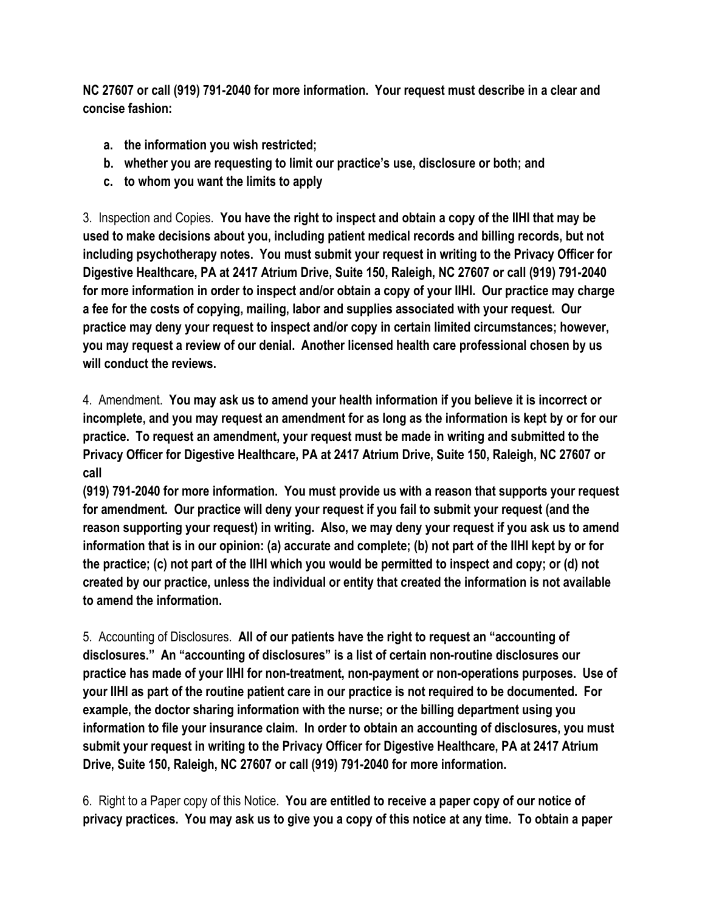**NC 27607 or call (919) 791-2040 for more information. Your request must describe in a clear and concise fashion:**

- **a. the information you wish restricted;**
- **b. whether you are requesting to limit our practice's use, disclosure or both; and**
- **c. to whom you want the limits to apply**

3. Inspection and Copies. **You have the right to inspect and obtain a copy of the IIHI that may be used to make decisions about you, including patient medical records and billing records, but not including psychotherapy notes. You must submit your request in writing to the Privacy Officer for Digestive Healthcare, PA at 2417 Atrium Drive, Suite 150, Raleigh, NC 27607 or call (919) 791-2040 for more information in order to inspect and/or obtain a copy of your IIHI. Our practice may charge a fee for the costs of copying, mailing, labor and supplies associated with your request. Our practice may deny your request to inspect and/or copy in certain limited circumstances; however, you may request a review of our denial. Another licensed health care professional chosen by us will conduct the reviews.**

4. Amendment. **You may ask us to amend your health information if you believe it is incorrect or incomplete, and you may request an amendment for as long as the information is kept by or for our practice. To request an amendment, your request must be made in writing and submitted to the Privacy Officer for Digestive Healthcare, PA at 2417 Atrium Drive, Suite 150, Raleigh, NC 27607 or call** 

**(919) 791-2040 for more information. You must provide us with a reason that supports your request for amendment. Our practice will deny your request if you fail to submit your request (and the reason supporting your request) in writing. Also, we may deny your request if you ask us to amend information that is in our opinion: (a) accurate and complete; (b) not part of the IIHI kept by or for the practice; (c) not part of the IIHI which you would be permitted to inspect and copy; or (d) not created by our practice, unless the individual or entity that created the information is not available to amend the information.**

5. Accounting of Disclosures. **All of our patients have the right to request an "accounting of disclosures." An "accounting of disclosures" is a list of certain non-routine disclosures our practice has made of your IIHI for non-treatment, non-payment or non-operations purposes. Use of your IIHI as part of the routine patient care in our practice is not required to be documented. For example, the doctor sharing information with the nurse; or the billing department using you information to file your insurance claim. In order to obtain an accounting of disclosures, you must submit your request in writing to the Privacy Officer for Digestive Healthcare, PA at 2417 Atrium Drive, Suite 150, Raleigh, NC 27607 or call (919) 791-2040 for more information.**

6. Right to a Paper copy of this Notice. **You are entitled to receive a paper copy of our notice of privacy practices. You may ask us to give you a copy of this notice at any time. To obtain a paper**